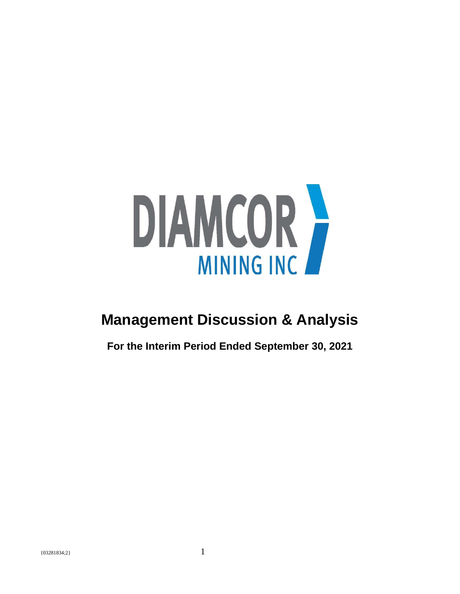

# **Management Discussion & Analysis**

**For the Interim Period Ended September 30, 2021**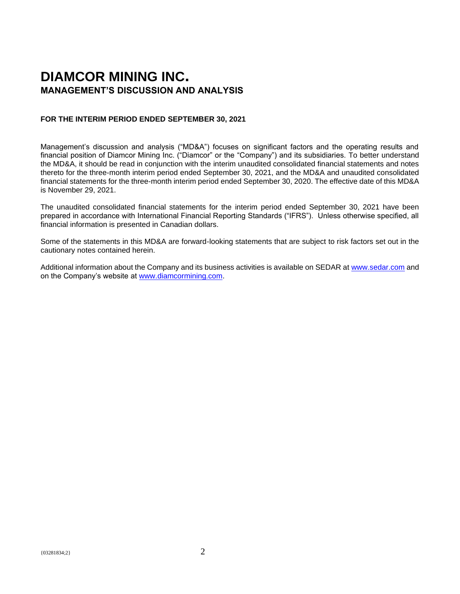# **DIAMCOR MINING INC. MANAGEMENT'S DISCUSSION AND ANALYSIS**

# **FOR THE INTERIM PERIOD ENDED SEPTEMBER 30, 2021**

Management's discussion and analysis ("MD&A") focuses on significant factors and the operating results and financial position of Diamcor Mining Inc. ("Diamcor" or the "Company") and its subsidiaries. To better understand the MD&A, it should be read in conjunction with the interim unaudited consolidated financial statements and notes thereto for the three-month interim period ended September 30, 2021, and the MD&A and unaudited consolidated financial statements for the three-month interim period ended September 30, 2020. The effective date of this MD&A is November 29, 2021.

The unaudited consolidated financial statements for the interim period ended September 30, 2021 have been prepared in accordance with International Financial Reporting Standards ("IFRS"). Unless otherwise specified, all financial information is presented in Canadian dollars.

Some of the statements in this MD&A are forward-looking statements that are subject to risk factors set out in the cautionary notes contained herein.

Additional information about the Company and its business activities is available on SEDAR at [www.sedar.com](http://www.sedar.com/) and on the Company's website at [www.diamcormining.com.](http://www.diamcormining.com/)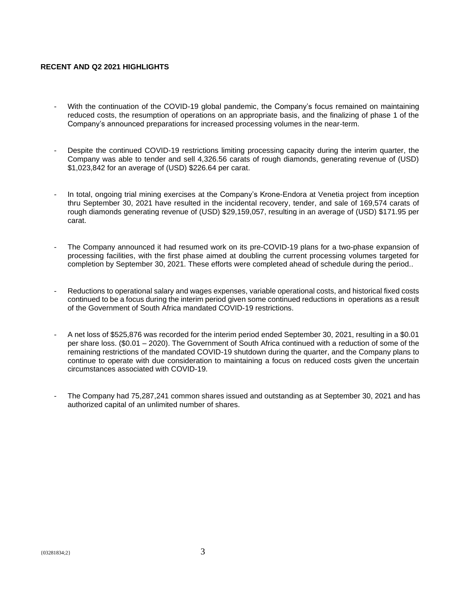# **RECENT AND Q2 2021 HIGHLIGHTS**

- With the continuation of the COVID-19 global pandemic, the Company's focus remained on maintaining reduced costs, the resumption of operations on an appropriate basis, and the finalizing of phase 1 of the Company's announced preparations for increased processing volumes in the near-term.
- Despite the continued COVID-19 restrictions limiting processing capacity during the interim quarter, the Company was able to tender and sell 4,326.56 carats of rough diamonds, generating revenue of (USD) \$1,023,842 for an average of (USD) \$226.64 per carat.
- In total, ongoing trial mining exercises at the Company's Krone-Endora at Venetia project from inception thru September 30, 2021 have resulted in the incidental recovery, tender, and sale of 169,574 carats of rough diamonds generating revenue of (USD) \$29,159,057, resulting in an average of (USD) \$171.95 per carat.
- The Company announced it had resumed work on its pre-COVID-19 plans for a two-phase expansion of processing facilities, with the first phase aimed at doubling the current processing volumes targeted for completion by September 30, 2021. These efforts were completed ahead of schedule during the period..
- Reductions to operational salary and wages expenses, variable operational costs, and historical fixed costs continued to be a focus during the interim period given some continued reductions in operations as a result of the Government of South Africa mandated COVID-19 restrictions.
- A net loss of \$525,876 was recorded for the interim period ended September 30, 2021, resulting in a \$0.01 per share loss. (\$0.01 – 2020). The Government of South Africa continued with a reduction of some of the remaining restrictions of the mandated COVID-19 shutdown during the quarter, and the Company plans to continue to operate with due consideration to maintaining a focus on reduced costs given the uncertain circumstances associated with COVID-19.
- The Company had 75,287,241 common shares issued and outstanding as at September 30, 2021 and has authorized capital of an unlimited number of shares.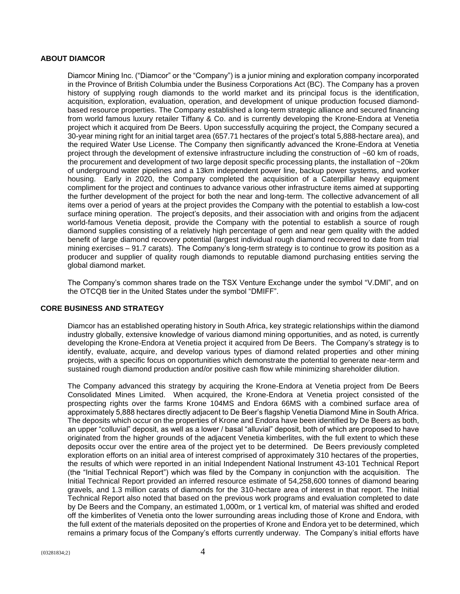# **ABOUT DIAMCOR**

Diamcor Mining Inc. ("Diamcor" or the "Company") is a junior mining and exploration company incorporated in the Province of British Columbia under the Business Corporations Act (BC). The Company has a proven history of supplying rough diamonds to the world market and its principal focus is the identification, acquisition, exploration, evaluation, operation, and development of unique production focused diamondbased resource properties. The Company established a long-term strategic alliance and secured financing from world famous luxury retailer Tiffany & Co. and is currently developing the Krone-Endora at Venetia project which it acquired from De Beers. Upon successfully acquiring the project, the Company secured a 30-year mining right for an initial target area (657.71 hectares of the project's total 5,888-hectare area), and the required Water Use License. The Company then significantly advanced the Krone-Endora at Venetia project through the development of extensive infrastructure including the construction of ~60 km of roads, the procurement and development of two large deposit specific processing plants, the installation of ~20km of underground water pipelines and a 13km independent power line, backup power systems, and worker housing. Early in 2020, the Company completed the acquisition of a Caterpillar heavy equipment compliment for the project and continues to advance various other infrastructure items aimed at supporting the further development of the project for both the near and long-term. The collective advancement of all items over a period of years at the project provides the Company with the potential to establish a low-cost surface mining operation. The project's deposits, and their association with and origins from the adjacent world-famous Venetia deposit, provide the Company with the potential to establish a source of rough diamond supplies consisting of a relatively high percentage of gem and near gem quality with the added benefit of large diamond recovery potential (largest individual rough diamond recovered to date from trial mining exercises – 91.7 carats). The Company's long-term strategy is to continue to grow its position as a producer and supplier of quality rough diamonds to reputable diamond purchasing entities serving the global diamond market.

The Company's common shares trade on the TSX Venture Exchange under the symbol "V.DMI", and on the OTCQB tier in the United States under the symbol "DMIFF".

# **CORE BUSINESS AND STRATEGY**

Diamcor has an established operating history in South Africa, key strategic relationships within the diamond industry globally, extensive knowledge of various diamond mining opportunities, and as noted, is currently developing the Krone-Endora at Venetia project it acquired from De Beers. The Company's strategy is to identify, evaluate, acquire, and develop various types of diamond related properties and other mining projects, with a specific focus on opportunities which demonstrate the potential to generate near-term and sustained rough diamond production and/or positive cash flow while minimizing shareholder dilution.

The Company advanced this strategy by acquiring the Krone-Endora at Venetia project from De Beers Consolidated Mines Limited. When acquired, the Krone-Endora at Venetia project consisted of the prospecting rights over the farms Krone 104MS and Endora 66MS with a combined surface area of approximately 5,888 hectares directly adjacent to De Beer's flagship Venetia Diamond Mine in South Africa. The deposits which occur on the properties of Krone and Endora have been identified by De Beers as both, an upper "colluvial" deposit, as well as a lower / basal "alluvial" deposit, both of which are proposed to have originated from the higher grounds of the adjacent Venetia kimberlites, with the full extent to which these deposits occur over the entire area of the project yet to be determined. De Beers previously completed exploration efforts on an initial area of interest comprised of approximately 310 hectares of the properties, the results of which were reported in an initial Independent National Instrument 43-101 Technical Report (the "Initial Technical Report") which was filed by the Company in conjunction with the acquisition. The Initial Technical Report provided an inferred resource estimate of 54,258,600 tonnes of diamond bearing gravels, and 1.3 million carats of diamonds for the 310-hectare area of interest in that report. The Initial Technical Report also noted that based on the previous work programs and evaluation completed to date by De Beers and the Company, an estimated 1,000m, or 1 vertical km, of material was shifted and eroded off the kimberlites of Venetia onto the lower surrounding areas including those of Krone and Endora, with the full extent of the materials deposited on the properties of Krone and Endora yet to be determined, which remains a primary focus of the Company's efforts currently underway. The Company's initial efforts have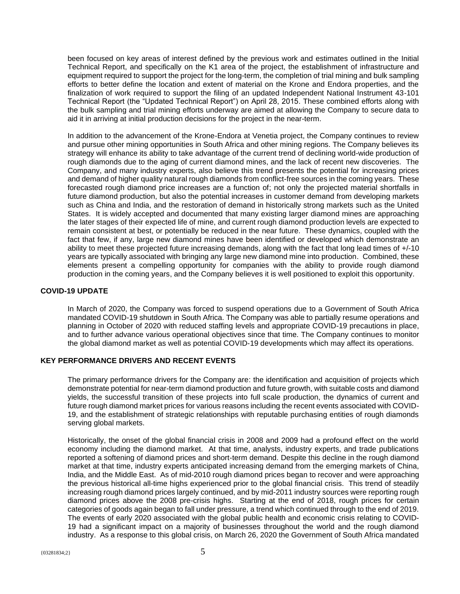been focused on key areas of interest defined by the previous work and estimates outlined in the Initial Technical Report, and specifically on the K1 area of the project, the establishment of infrastructure and equipment required to support the project for the long-term, the completion of trial mining and bulk sampling efforts to better define the location and extent of material on the Krone and Endora properties, and the finalization of work required to support the filing of an updated Independent National Instrument 43-101 Technical Report (the "Updated Technical Report") on April 28, 2015. These combined efforts along with the bulk sampling and trial mining efforts underway are aimed at allowing the Company to secure data to aid it in arriving at initial production decisions for the project in the near-term.

In addition to the advancement of the Krone-Endora at Venetia project, the Company continues to review and pursue other mining opportunities in South Africa and other mining regions. The Company believes its strategy will enhance its ability to take advantage of the current trend of declining world-wide production of rough diamonds due to the aging of current diamond mines, and the lack of recent new discoveries. The Company, and many industry experts, also believe this trend presents the potential for increasing prices and demand of higher quality natural rough diamonds from conflict-free sources in the coming years. These forecasted rough diamond price increases are a function of; not only the projected material shortfalls in future diamond production, but also the potential increases in customer demand from developing markets such as China and India, and the restoration of demand in historically strong markets such as the United States. It is widely accepted and documented that many existing larger diamond mines are approaching the later stages of their expected life of mine, and current rough diamond production levels are expected to remain consistent at best, or potentially be reduced in the near future. These dynamics, coupled with the fact that few, if any, large new diamond mines have been identified or developed which demonstrate an ability to meet these projected future increasing demands, along with the fact that long lead times of +/-10 years are typically associated with bringing any large new diamond mine into production. Combined, these elements present a compelling opportunity for companies with the ability to provide rough diamond production in the coming years, and the Company believes it is well positioned to exploit this opportunity.

# **COVID-19 UPDATE**

In March of 2020, the Company was forced to suspend operations due to a Government of South Africa mandated COVID-19 shutdown in South Africa. The Company was able to partially resume operations and planning in October of 2020 with reduced staffing levels and appropriate COVID-19 precautions in place, and to further advance various operational objectives since that time. The Company continues to monitor the global diamond market as well as potential COVID-19 developments which may affect its operations.

# **KEY PERFORMANCE DRIVERS AND RECENT EVENTS**

The primary performance drivers for the Company are: the identification and acquisition of projects which demonstrate potential for near-term diamond production and future growth, with suitable costs and diamond yields, the successful transition of these projects into full scale production, the dynamics of current and future rough diamond market prices for various reasons including the recent events associated with COVID-19, and the establishment of strategic relationships with reputable purchasing entities of rough diamonds serving global markets.

Historically, the onset of the global financial crisis in 2008 and 2009 had a profound effect on the world economy including the diamond market. At that time, analysts, industry experts, and trade publications reported a softening of diamond prices and short-term demand. Despite this decline in the rough diamond market at that time, industry experts anticipated increasing demand from the emerging markets of China, India, and the Middle East. As of mid-2010 rough diamond prices began to recover and were approaching the previous historical all-time highs experienced prior to the global financial crisis. This trend of steadily increasing rough diamond prices largely continued, and by mid-2011 industry sources were reporting rough diamond prices above the 2008 pre-crisis highs. Starting at the end of 2018, rough prices for certain categories of goods again began to fall under pressure, a trend which continued through to the end of 2019. The events of early 2020 associated with the global public health and economic crisis relating to COVID-19 had a significant impact on a majority of businesses throughout the world and the rough diamond industry. As a response to this global crisis, on March 26, 2020 the Government of South Africa mandated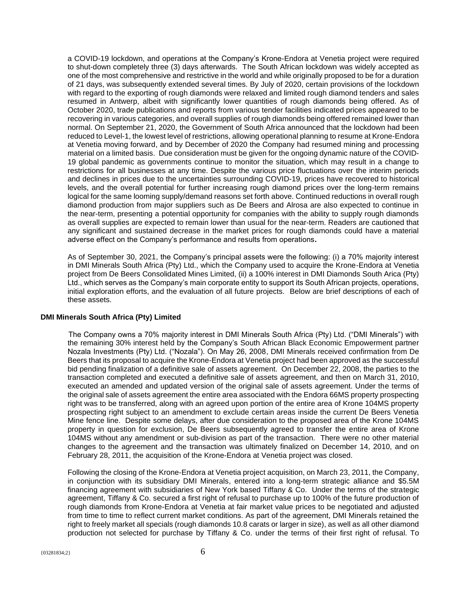a COVID-19 lockdown, and operations at the Company's Krone-Endora at Venetia project were required to shut-down completely three (3) days afterwards. The South African lockdown was widely accepted as one of the most comprehensive and restrictive in the world and while originally proposed to be for a duration of 21 days, was subsequently extended several times. By July of 2020, certain provisions of the lockdown with regard to the exporting of rough diamonds were relaxed and limited rough diamond tenders and sales resumed in Antwerp, albeit with significantly lower quantities of rough diamonds being offered. As of October 2020, trade publications and reports from various tender facilities indicated prices appeared to be recovering in various categories, and overall supplies of rough diamonds being offered remained lower than normal. On September 21, 2020, the Government of South Africa announced that the lockdown had been reduced to Level-1, the lowest level of restrictions, allowing operational planning to resume at Krone-Endora at Venetia moving forward, and by December of 2020 the Company had resumed mining and processing material on a limited basis. Due consideration must be given for the ongoing dynamic nature of the COVID-19 global pandemic as governments continue to monitor the situation, which may result in a change to restrictions for all businesses at any time. Despite the various price fluctuations over the interim periods and declines in prices due to the uncertainties surrounding COVID-19, prices have recovered to historical levels, and the overall potential for further increasing rough diamond prices over the long-term remains logical for the same looming supply/demand reasons set forth above. Continued reductions in overall rough diamond production from major suppliers such as De Beers and Alrosa are also expected to continue in the near-term, presenting a potential opportunity for companies with the ability to supply rough diamonds as overall supplies are expected to remain lower than usual for the near-term. Readers are cautioned that any significant and sustained decrease in the market prices for rough diamonds could have a material adverse effect on the Company's performance and results from operations**.**

As of September 30, 2021, the Company's principal assets were the following: (i) a 70% majority interest in DMI Minerals South Africa (Pty) Ltd., which the Company used to acquire the Krone-Endora at Venetia project from De Beers Consolidated Mines Limited, (ii) a 100% interest in DMI Diamonds South Arica (Pty) Ltd., which serves as the Company's main corporate entity to support its South African projects, operations, initial exploration efforts, and the evaluation of all future projects. Below are brief descriptions of each of these assets.

# **DMI Minerals South Africa (Pty) Limited**

The Company owns a 70% majority interest in DMI Minerals South Africa (Pty) Ltd. ("DMI Minerals") with the remaining 30% interest held by the Company's South African Black Economic Empowerment partner Nozala Investments (Pty) Ltd. ("Nozala"). On May 26, 2008, DMI Minerals received confirmation from De Beers that its proposal to acquire the Krone-Endora at Venetia project had been approved as the successful bid pending finalization of a definitive sale of assets agreement. On December 22, 2008, the parties to the transaction completed and executed a definitive sale of assets agreement, and then on March 31, 2010, executed an amended and updated version of the original sale of assets agreement. Under the terms of the original sale of assets agreement the entire area associated with the Endora 66MS property prospecting right was to be transferred, along with an agreed upon portion of the entire area of Krone 104MS property prospecting right subject to an amendment to exclude certain areas inside the current De Beers Venetia Mine fence line. Despite some delays, after due consideration to the proposed area of the Krone 104MS property in question for exclusion, De Beers subsequently agreed to transfer the entire area of Krone 104MS without any amendment or sub-division as part of the transaction. There were no other material changes to the agreement and the transaction was ultimately finalized on December 14, 2010, and on February 28, 2011, the acquisition of the Krone-Endora at Venetia project was closed.

Following the closing of the Krone-Endora at Venetia project acquisition, on March 23, 2011, the Company, in conjunction with its subsidiary DMI Minerals, entered into a long-term strategic alliance and \$5.5M financing agreement with subsidiaries of New York based Tiffany & Co. Under the terms of the strategic agreement, Tiffany & Co. secured a first right of refusal to purchase up to 100% of the future production of rough diamonds from Krone-Endora at Venetia at fair market value prices to be negotiated and adjusted from time to time to reflect current market conditions. As part of the agreement, DMI Minerals retained the right to freely market all specials (rough diamonds 10.8 carats or larger in size), as well as all other diamond production not selected for purchase by Tiffany & Co. under the terms of their first right of refusal. To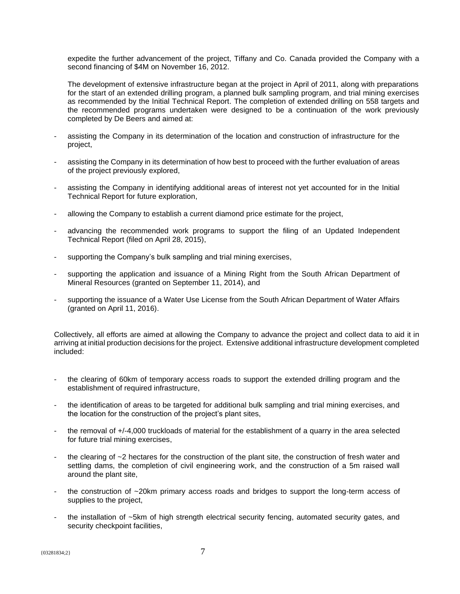expedite the further advancement of the project, Tiffany and Co. Canada provided the Company with a second financing of \$4M on November 16, 2012.

The development of extensive infrastructure began at the project in April of 2011, along with preparations for the start of an extended drilling program, a planned bulk sampling program, and trial mining exercises as recommended by the Initial Technical Report. The completion of extended drilling on 558 targets and the recommended programs undertaken were designed to be a continuation of the work previously completed by De Beers and aimed at:

- assisting the Company in its determination of the location and construction of infrastructure for the project,
- assisting the Company in its determination of how best to proceed with the further evaluation of areas of the project previously explored,
- assisting the Company in identifying additional areas of interest not yet accounted for in the Initial Technical Report for future exploration,
- allowing the Company to establish a current diamond price estimate for the project,
- advancing the recommended work programs to support the filing of an Updated Independent Technical Report (filed on April 28, 2015),
- supporting the Company's bulk sampling and trial mining exercises,
- supporting the application and issuance of a Mining Right from the South African Department of Mineral Resources (granted on September 11, 2014), and
- supporting the issuance of a Water Use License from the South African Department of Water Affairs (granted on April 11, 2016).

Collectively, all efforts are aimed at allowing the Company to advance the project and collect data to aid it in arriving at initial production decisions for the project. Extensive additional infrastructure development completed included:

- the clearing of 60km of temporary access roads to support the extended drilling program and the establishment of required infrastructure,
- the identification of areas to be targeted for additional bulk sampling and trial mining exercises, and the location for the construction of the project's plant sites,
- the removal of  $+/-4,000$  truckloads of material for the establishment of a quarry in the area selected for future trial mining exercises,
- the clearing of  $\sim$  2 hectares for the construction of the plant site, the construction of fresh water and settling dams, the completion of civil engineering work, and the construction of a 5m raised wall around the plant site,
- the construction of ~20km primary access roads and bridges to support the long-term access of supplies to the project,
- the installation of ~5km of high strength electrical security fencing, automated security gates, and security checkpoint facilities,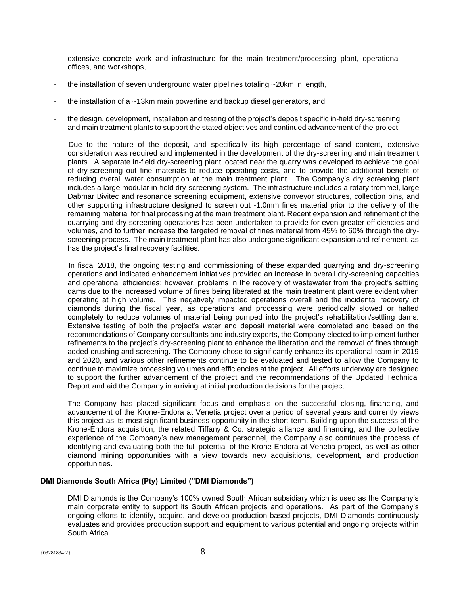- extensive concrete work and infrastructure for the main treatment/processing plant, operational offices, and workshops,
- the installation of seven underground water pipelines totaling  $\sim$  20km in length,
- the installation of a  $\sim$ 13km main powerline and backup diesel generators, and
- the design, development, installation and testing of the project's deposit specific in-field dry-screening and main treatment plants to support the stated objectives and continued advancement of the project.

Due to the nature of the deposit, and specifically its high percentage of sand content, extensive consideration was required and implemented in the development of the dry-screening and main treatment plants. A separate in-field dry-screening plant located near the quarry was developed to achieve the goal of dry-screening out fine materials to reduce operating costs, and to provide the additional benefit of reducing overall water consumption at the main treatment plant. The Company's dry screening plant includes a large modular in-field dry-screening system. The infrastructure includes a rotary trommel, large Dabmar Bivitec and resonance screening equipment, extensive conveyor structures, collection bins, and other supporting infrastructure designed to screen out -1.0mm fines material prior to the delivery of the remaining material for final processing at the main treatment plant. Recent expansion and refinement of the quarrying and dry-screening operations has been undertaken to provide for even greater efficiencies and volumes, and to further increase the targeted removal of fines material from 45% to 60% through the dryscreening process. The main treatment plant has also undergone significant expansion and refinement, as has the project's final recovery facilities.

In fiscal 2018, the ongoing testing and commissioning of these expanded quarrying and dry-screening operations and indicated enhancement initiatives provided an increase in overall dry-screening capacities and operational efficiencies; however, problems in the recovery of wastewater from the project's settling dams due to the increased volume of fines being liberated at the main treatment plant were evident when operating at high volume. This negatively impacted operations overall and the incidental recovery of diamonds during the fiscal year, as operations and processing were periodically slowed or halted completely to reduce volumes of material being pumped into the project's rehabilitation/settling dams. Extensive testing of both the project's water and deposit material were completed and based on the recommendations of Company consultants and industry experts, the Company elected to implement further refinements to the project's dry-screening plant to enhance the liberation and the removal of fines through added crushing and screening. The Company chose to significantly enhance its operational team in 2019 and 2020, and various other refinements continue to be evaluated and tested to allow the Company to continue to maximize processing volumes and efficiencies at the project. All efforts underway are designed to support the further advancement of the project and the recommendations of the Updated Technical Report and aid the Company in arriving at initial production decisions for the project.

The Company has placed significant focus and emphasis on the successful closing, financing, and advancement of the Krone-Endora at Venetia project over a period of several years and currently views this project as its most significant business opportunity in the short-term. Building upon the success of the Krone-Endora acquisition, the related Tiffany & Co. strategic alliance and financing, and the collective experience of the Company's new management personnel, the Company also continues the process of identifying and evaluating both the full potential of the Krone-Endora at Venetia project, as well as other diamond mining opportunities with a view towards new acquisitions, development, and production opportunities.

# **DMI Diamonds South Africa (Pty) Limited ("DMI Diamonds")**

DMI Diamonds is the Company's 100% owned South African subsidiary which is used as the Company's main corporate entity to support its South African projects and operations. As part of the Company's ongoing efforts to identify, acquire, and develop production-based projects, DMI Diamonds continuously evaluates and provides production support and equipment to various potential and ongoing projects within South Africa.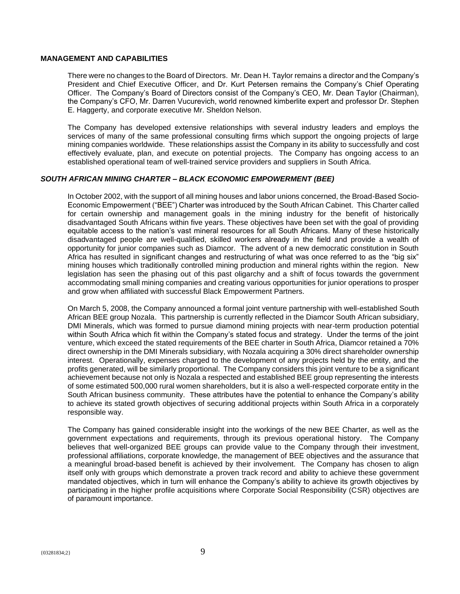# **MANAGEMENT AND CAPABILITIES**

There were no changes to the Board of Directors. Mr. Dean H. Taylor remains a director and the Company's President and Chief Executive Officer, and Dr. Kurt Petersen remains the Company's Chief Operating Officer. The Company's Board of Directors consist of the Company's CEO, Mr. Dean Taylor (Chairman), the Company's CFO, Mr. Darren Vucurevich, world renowned kimberlite expert and professor Dr. Stephen E. Haggerty, and corporate executive Mr. Sheldon Nelson.

The Company has developed extensive relationships with several industry leaders and employs the services of many of the same professional consulting firms which support the ongoing projects of large mining companies worldwide. These relationships assist the Company in its ability to successfully and cost effectively evaluate, plan, and execute on potential projects. The Company has ongoing access to an established operational team of well-trained service providers and suppliers in South Africa.

# *SOUTH AFRICAN MINING CHARTER – BLACK ECONOMIC EMPOWERMENT (BEE)*

In October 2002, with the support of all mining houses and labor unions concerned, the Broad-Based Socio-Economic Empowerment ("BEE") Charter was introduced by the South African Cabinet. This Charter called for certain ownership and management goals in the mining industry for the benefit of historically disadvantaged South Africans within five years. These objectives have been set with the goal of providing equitable access to the nation's vast mineral resources for all South Africans. Many of these historically disadvantaged people are well-qualified, skilled workers already in the field and provide a wealth of opportunity for junior companies such as Diamcor. The advent of a new democratic constitution in South Africa has resulted in significant changes and restructuring of what was once referred to as the "big six" mining houses which traditionally controlled mining production and mineral rights within the region. New legislation has seen the phasing out of this past oligarchy and a shift of focus towards the government accommodating small mining companies and creating various opportunities for junior operations to prosper and grow when affiliated with successful Black Empowerment Partners.

On March 5, 2008, the Company announced a formal joint venture partnership with well-established South African BEE group Nozala. This partnership is currently reflected in the Diamcor South African subsidiary, DMI Minerals, which was formed to pursue diamond mining projects with near-term production potential within South Africa which fit within the Company's stated focus and strategy. Under the terms of the joint venture, which exceed the stated requirements of the BEE charter in South Africa, Diamcor retained a 70% direct ownership in the DMI Minerals subsidiary, with Nozala acquiring a 30% direct shareholder ownership interest. Operationally, expenses charged to the development of any projects held by the entity, and the profits generated, will be similarly proportional. The Company considers this joint venture to be a significant achievement because not only is Nozala a respected and established BEE group representing the interests of some estimated 500,000 rural women shareholders, but it is also a well-respected corporate entity in the South African business community. These attributes have the potential to enhance the Company's ability to achieve its stated growth objectives of securing additional projects within South Africa in a corporately responsible way.

The Company has gained considerable insight into the workings of the new BEE Charter, as well as the government expectations and requirements, through its previous operational history. The Company believes that well-organized BEE groups can provide value to the Company through their investment, professional affiliations, corporate knowledge, the management of BEE objectives and the assurance that a meaningful broad-based benefit is achieved by their involvement. The Company has chosen to align itself only with groups which demonstrate a proven track record and ability to achieve these government mandated objectives, which in turn will enhance the Company's ability to achieve its growth objectives by participating in the higher profile acquisitions where Corporate Social Responsibility (CSR) objectives are of paramount importance.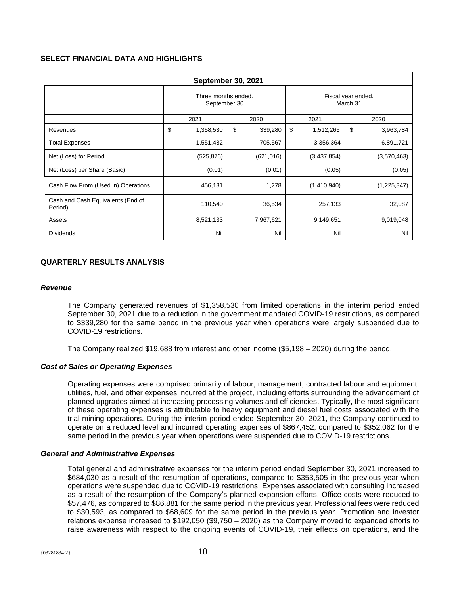# **SELECT FINANCIAL DATA AND HIGHLIGHTS**

| <b>September 30, 2021</b>                    |                                     |               |                                |                 |  |
|----------------------------------------------|-------------------------------------|---------------|--------------------------------|-----------------|--|
|                                              | Three months ended.<br>September 30 |               | Fiscal year ended.<br>March 31 |                 |  |
|                                              | 2021                                | 2020          | 2021                           | 2020            |  |
| Revenues                                     | \$<br>1,358,530                     | \$<br>339,280 | \$<br>1,512,265                | \$<br>3,963,784 |  |
| <b>Total Expenses</b>                        | 1,551,482                           | 705,567       | 3,356,364                      | 6,891,721       |  |
| Net (Loss) for Period                        | (525, 876)                          | (621, 016)    | (3,437,854)                    | (3,570,463)     |  |
| Net (Loss) per Share (Basic)                 | (0.01)                              | (0.01)        | (0.05)                         | (0.05)          |  |
| Cash Flow From (Used in) Operations          | 456,131                             | 1,278         | (1,410,940)                    | (1,225,347)     |  |
| Cash and Cash Equivalents (End of<br>Period) | 110,540                             | 36,534        | 257,133                        | 32,087          |  |
| Assets                                       | 8,521,133                           | 7,967,621     | 9,149,651                      | 9,019,048       |  |
| <b>Dividends</b>                             | Nil                                 | Nil           | Nil                            | Nil             |  |

# **QUARTERLY RESULTS ANALYSIS**

#### *Revenue*

The Company generated revenues of \$1,358,530 from limited operations in the interim period ended September 30, 2021 due to a reduction in the government mandated COVID-19 restrictions, as compared to \$339,280 for the same period in the previous year when operations were largely suspended due to COVID-19 restrictions.

The Company realized \$19,688 from interest and other income (\$5,198 – 2020) during the period.

# *Cost of Sales or Operating Expenses*

Operating expenses were comprised primarily of labour, management, contracted labour and equipment, utilities, fuel, and other expenses incurred at the project, including efforts surrounding the advancement of planned upgrades aimed at increasing processing volumes and efficiencies. Typically, the most significant of these operating expenses is attributable to heavy equipment and diesel fuel costs associated with the trial mining operations. During the interim period ended September 30, 2021, the Company continued to operate on a reduced level and incurred operating expenses of \$867,452, compared to \$352,062 for the same period in the previous year when operations were suspended due to COVID-19 restrictions.

#### *General and Administrative Expenses*

Total general and administrative expenses for the interim period ended September 30, 2021 increased to \$684,030 as a result of the resumption of operations, compared to \$353,505 in the previous year when operations were suspended due to COVID-19 restrictions. Expenses associated with consulting increased as a result of the resumption of the Company's planned expansion efforts. Office costs were reduced to \$57,476, as compared to \$86,881 for the same period in the previous year. Professional fees were reduced to \$30,593, as compared to \$68,609 for the same period in the previous year. Promotion and investor relations expense increased to \$192,050 (\$9,750 – 2020) as the Company moved to expanded efforts to raise awareness with respect to the ongoing events of COVID-19, their effects on operations, and the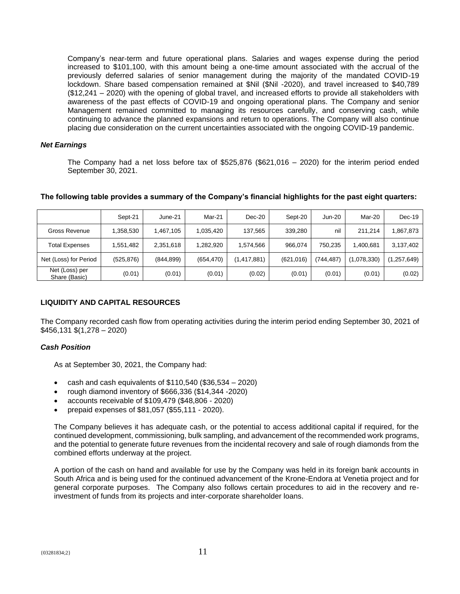Company's near-term and future operational plans. Salaries and wages expense during the period increased to \$101,100, with this amount being a one-time amount associated with the accrual of the previously deferred salaries of senior management during the majority of the mandated COVID-19 lockdown. Share based compensation remained at \$Nil (\$Nil -2020), and travel increased to \$40,789 (\$12,241 – 2020) with the opening of global travel, and increased efforts to provide all stakeholders with awareness of the past effects of COVID-19 and ongoing operational plans. The Company and senior Management remained committed to managing its resources carefully, and conserving cash, while continuing to advance the planned expansions and return to operations. The Company will also continue placing due consideration on the current uncertainties associated with the ongoing COVID-19 pandemic.

# *Net Earnings*

The Company had a net loss before tax of \$525,876 (\$621,016 – 2020) for the interim period ended September 30, 2021.

|                                 | Sept-21    | June-21    | Mar-21     | $Dec-20$      | Sept-20    | <b>Jun-20</b> | Mar-20      | $Dec-19$  |
|---------------------------------|------------|------------|------------|---------------|------------|---------------|-------------|-----------|
| Gross Revenue                   | 1.358.530  | 1.467.105  | 1,035,420  | 137.565       | 339.280    | nil           | 211.214     | 1,867,873 |
| <b>Total Expenses</b>           | 1,551,482  | 2,351,618  | 1,282,920  | 1.574.566     | 966.074    | 750.235       | 1,400,681   | 3,137,402 |
| Net (Loss) for Period           | (525, 876) | (844, 899) | (654, 470) | (1, 417, 881) | (621, 016) | (744, 487)    | (1,078,330) | ,257,649) |
| Net (Loss) per<br>Share (Basic) | (0.01)     | (0.01)     | (0.01)     | (0.02)        | (0.01)     | (0.01)        | (0.01)      | (0.02)    |

# **The following table provides a summary of the Company's financial highlights for the past eight quarters:**

# **LIQUIDITY AND CAPITAL RESOURCES**

The Company recorded cash flow from operating activities during the interim period ending September 30, 2021 of \$456,131 \$(1,278 – 2020)

# *Cash Position*

As at September 30, 2021, the Company had:

- cash and cash equivalents of \$110,540 (\$36,534 2020)
- rough diamond inventory of \$666,336 (\$14,344 -2020)
- accounts receivable of \$109,479 (\$48,806 2020)
- prepaid expenses of \$81,057 (\$55,111 2020).

The Company believes it has adequate cash, or the potential to access additional capital if required, for the continued development, commissioning, bulk sampling, and advancement of the recommended work programs, and the potential to generate future revenues from the incidental recovery and sale of rough diamonds from the combined efforts underway at the project.

A portion of the cash on hand and available for use by the Company was held in its foreign bank accounts in South Africa and is being used for the continued advancement of the Krone-Endora at Venetia project and for general corporate purposes. The Company also follows certain procedures to aid in the recovery and reinvestment of funds from its projects and inter-corporate shareholder loans.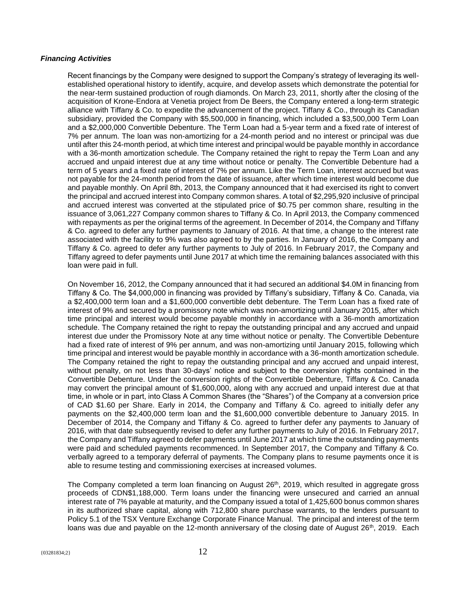# *Financing Activities*

Recent financings by the Company were designed to support the Company's strategy of leveraging its wellestablished operational history to identify, acquire, and develop assets which demonstrate the potential for the near-term sustained production of rough diamonds. On March 23, 2011, shortly after the closing of the acquisition of Krone-Endora at Venetia project from De Beers, the Company entered a long-term strategic alliance with Tiffany & Co. to expedite the advancement of the project. Tiffany & Co., through its Canadian subsidiary, provided the Company with \$5,500,000 in financing, which included a \$3,500,000 Term Loan and a \$2,000,000 Convertible Debenture. The Term Loan had a 5-year term and a fixed rate of interest of 7% per annum. The loan was non-amortizing for a 24-month period and no interest or principal was due until after this 24-month period, at which time interest and principal would be payable monthly in accordance with a 36-month amortization schedule. The Company retained the right to repay the Term Loan and any accrued and unpaid interest due at any time without notice or penalty. The Convertible Debenture had a term of 5 years and a fixed rate of interest of 7% per annum. Like the Term Loan, interest accrued but was not payable for the 24-month period from the date of issuance, after which time interest would become due and payable monthly. On April 8th, 2013, the Company announced that it had exercised its right to convert the principal and accrued interest into Company common shares. A total of \$2,295,920 inclusive of principal and accrued interest was converted at the stipulated price of \$0.75 per common share, resulting in the issuance of 3,061,227 Company common shares to Tiffany & Co. In April 2013, the Company commenced with repayments as per the original terms of the agreement. In December of 2014, the Company and Tiffany & Co. agreed to defer any further payments to January of 2016. At that time, a change to the interest rate associated with the facility to 9% was also agreed to by the parties. In January of 2016, the Company and Tiffany & Co. agreed to defer any further payments to July of 2016. In February 2017, the Company and Tiffany agreed to defer payments until June 2017 at which time the remaining balances associated with this loan were paid in full.

On November 16, 2012, the Company announced that it had secured an additional \$4.0M in financing from Tiffany & Co. The \$4,000,000 in financing was provided by Tiffany's subsidiary, Tiffany & Co. Canada, via a \$2,400,000 term loan and a \$1,600,000 convertible debt debenture. The Term Loan has a fixed rate of interest of 9% and secured by a promissory note which was non-amortizing until January 2015, after which time principal and interest would become payable monthly in accordance with a 36-month amortization schedule. The Company retained the right to repay the outstanding principal and any accrued and unpaid interest due under the Promissory Note at any time without notice or penalty. The Convertible Debenture had a fixed rate of interest of 9% per annum, and was non-amortizing until January 2015, following which time principal and interest would be payable monthly in accordance with a 36-month amortization schedule. The Company retained the right to repay the outstanding principal and any accrued and unpaid interest, without penalty, on not less than 30-days' notice and subject to the conversion rights contained in the Convertible Debenture. Under the conversion rights of the Convertible Debenture, Tiffany & Co. Canada may convert the principal amount of \$1,600,000, along with any accrued and unpaid interest due at that time, in whole or in part, into Class A Common Shares (the "Shares") of the Company at a conversion price of CAD \$1.60 per Share. Early in 2014, the Company and Tiffany & Co. agreed to initially defer any payments on the \$2,400,000 term loan and the \$1,600,000 convertible debenture to January 2015. In December of 2014, the Company and Tiffany & Co. agreed to further defer any payments to January of 2016, with that date subsequently revised to defer any further payments to July of 2016. In February 2017, the Company and Tiffany agreed to defer payments until June 2017 at which time the outstanding payments were paid and scheduled payments recommenced. In September 2017, the Company and Tiffany & Co. verbally agreed to a temporary deferral of payments. The Company plans to resume payments once it is able to resume testing and commissioning exercises at increased volumes.

The Company completed a term loan financing on August 26<sup>th</sup>, 2019, which resulted in aggregate gross proceeds of CDN\$1,188,000. Term loans under the financing were unsecured and carried an annual interest rate of 7% payable at maturity, and the Company issued a total of 1,425,600 bonus common shares in its authorized share capital, along with 712,800 share purchase warrants, to the lenders pursuant to Policy 5.1 of the TSX Venture Exchange Corporate Finance Manual. The principal and interest of the term loans was due and payable on the 12-month anniversary of the closing date of August 26<sup>th</sup>, 2019. Each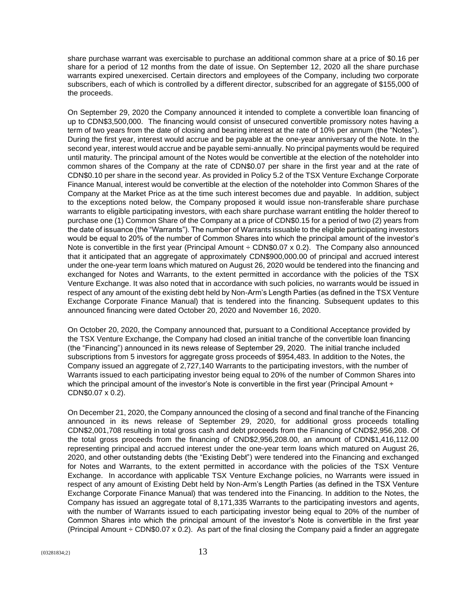share purchase warrant was exercisable to purchase an additional common share at a price of \$0.16 per share for a period of 12 months from the date of issue. On September 12, 2020 all the share purchase warrants expired unexercised. Certain directors and employees of the Company, including two corporate subscribers, each of which is controlled by a different director, subscribed for an aggregate of \$155,000 of the proceeds.

On September 29, 2020 the Company announced it intended to complete a convertible loan financing of up to CDN\$3,500,000. The financing would consist of unsecured convertible promissory notes having a term of two years from the date of closing and bearing interest at the rate of 10% per annum (the "Notes"). During the first year, interest would accrue and be payable at the one-year anniversary of the Note. In the second year, interest would accrue and be payable semi-annually. No principal payments would be required until maturity. The principal amount of the Notes would be convertible at the election of the noteholder into common shares of the Company at the rate of CDN\$0.07 per share in the first year and at the rate of CDN\$0.10 per share in the second year. As provided in Policy 5.2 of the TSX Venture Exchange Corporate Finance Manual, interest would be convertible at the election of the noteholder into Common Shares of the Company at the Market Price as at the time such interest becomes due and payable. In addition, subject to the exceptions noted below, the Company proposed it would issue non-transferable share purchase warrants to eligible participating investors, with each share purchase warrant entitling the holder thereof to purchase one (1) Common Share of the Company at a price of CDN\$0.15 for a period of two (2) years from the date of issuance (the "Warrants"). The number of Warrants issuable to the eligible participating investors would be equal to 20% of the number of Common Shares into which the principal amount of the investor's Note is convertible in the first year (Principal Amount ÷ CDN\$0.07 x 0.2). The Company also announced that it anticipated that an aggregate of approximately CDN\$900,000.00 of principal and accrued interest under the one-year term loans which matured on August 26, 2020 would be tendered into the financing and exchanged for Notes and Warrants, to the extent permitted in accordance with the policies of the TSX Venture Exchange. It was also noted that in accordance with such policies, no warrants would be issued in respect of any amount of the existing debt held by Non-Arm's Length Parties (as defined in the TSX Venture Exchange Corporate Finance Manual) that is tendered into the financing. Subsequent updates to this announced financing were dated October 20, 2020 and November 16, 2020.

On October 20, 2020, the Company announced that, pursuant to a Conditional Acceptance provided by the TSX Venture Exchange, the Company had closed an initial tranche of the convertible loan financing (the "Financing") announced in its news release of September 29, 2020. The initial tranche included subscriptions from 5 investors for aggregate gross proceeds of \$954,483. In addition to the Notes, the Company issued an aggregate of 2,727,140 Warrants to the participating investors, with the number of Warrants issued to each participating investor being equal to 20% of the number of Common Shares into which the principal amount of the investor's Note is convertible in the first year (Principal Amount ÷ CDN\$0.07 x 0.2).

On December 21, 2020, the Company announced the closing of a second and final tranche of the Financing announced in its news release of September 29, 2020, for additional gross proceeds totalling CDN\$2,001,708 resulting in total gross cash and debt proceeds from the Financing of CND\$2,956,208. Of the total gross proceeds from the financing of CND\$2,956,208.00, an amount of CDN\$1,416,112.00 representing principal and accrued interest under the one-year term loans which matured on August 26, 2020, and other outstanding debts (the "Existing Debt") were tendered into the Financing and exchanged for Notes and Warrants, to the extent permitted in accordance with the policies of the TSX Venture Exchange. In accordance with applicable TSX Venture Exchange policies, no Warrants were issued in respect of any amount of Existing Debt held by Non-Arm's Length Parties (as defined in the TSX Venture Exchange Corporate Finance Manual) that was tendered into the Financing. In addition to the Notes, the Company has issued an aggregate total of 8,171,335 Warrants to the participating investors and agents, with the number of Warrants issued to each participating investor being equal to 20% of the number of Common Shares into which the principal amount of the investor's Note is convertible in the first year (Principal Amount  $\div$  CDN\$0.07 x 0.2). As part of the final closing the Company paid a finder an aggregate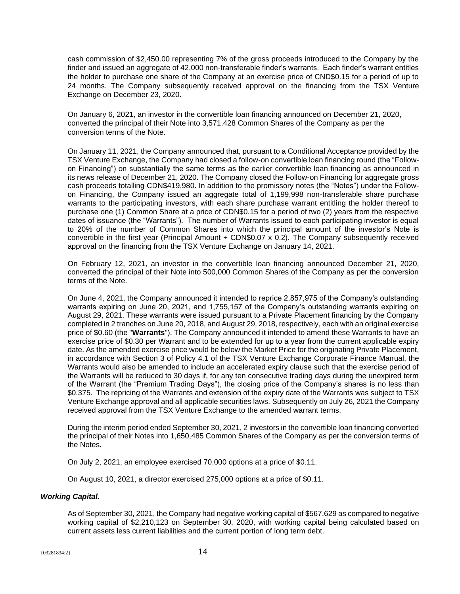cash commission of \$2,450.00 representing 7% of the gross proceeds introduced to the Company by the finder and issued an aggregate of 42,000 non-transferable finder's warrants. Each finder's warrant entitles the holder to purchase one share of the Company at an exercise price of CND\$0.15 for a period of up to 24 months. The Company subsequently received approval on the financing from the TSX Venture Exchange on December 23, 2020.

On January 6, 2021, an investor in the convertible loan financing announced on December 21, 2020, converted the principal of their Note into 3,571,428 Common Shares of the Company as per the conversion terms of the Note.

On January 11, 2021, the Company announced that, pursuant to a Conditional Acceptance provided by the TSX Venture Exchange, the Company had closed a follow-on convertible loan financing round (the "Followon Financing") on substantially the same terms as the earlier convertible loan financing as announced in its news release of December 21, 2020. The Company closed the Follow-on Financing for aggregate gross cash proceeds totalling CDN\$419,980. In addition to the promissory notes (the "Notes") under the Followon Financing, the Company issued an aggregate total of 1,199,998 non-transferable share purchase warrants to the participating investors, with each share purchase warrant entitling the holder thereof to purchase one (1) Common Share at a price of CDN\$0.15 for a period of two (2) years from the respective dates of issuance (the "Warrants"). The number of Warrants issued to each participating investor is equal to 20% of the number of Common Shares into which the principal amount of the investor's Note is convertible in the first year (Principal Amount  $\div$  CDN\$0.07 x 0.2). The Company subsequently received approval on the financing from the TSX Venture Exchange on January 14, 2021.

On February 12, 2021, an investor in the convertible loan financing announced December 21, 2020, converted the principal of their Note into 500,000 Common Shares of the Company as per the conversion terms of the Note.

On June 4, 2021, the Company announced it intended to reprice 2,857,975 of the Company's outstanding warrants expiring on June 20, 2021, and 1,755,157 of the Company's outstanding warrants expiring on August 29, 2021. These warrants were issued pursuant to a Private Placement financing by the Company completed in 2 tranches on June 20, 2018, and August 29, 2018, respectively, each with an original exercise price of \$0.60 (the "**Warrants**"). The Company announced it intended to amend these Warrants to have an exercise price of \$0.30 per Warrant and to be extended for up to a year from the current applicable expiry date. As the amended exercise price would be below the Market Price for the originating Private Placement, in accordance with Section 3 of Policy 4.1 of the TSX Venture Exchange Corporate Finance Manual, the Warrants would also be amended to include an accelerated expiry clause such that the exercise period of the Warrants will be reduced to 30 days if, for any ten consecutive trading days during the unexpired term of the Warrant (the "Premium Trading Days"), the closing price of the Company's shares is no less than \$0.375. The repricing of the Warrants and extension of the expiry date of the Warrants was subject to TSX Venture Exchange approval and all applicable securities laws. Subsequently on July 26, 2021 the Company received approval from the TSX Venture Exchange to the amended warrant terms.

During the interim period ended September 30, 2021, 2 investors in the convertible loan financing converted the principal of their Notes into 1,650,485 Common Shares of the Company as per the conversion terms of the Notes.

On July 2, 2021, an employee exercised 70,000 options at a price of \$0.11.

On August 10, 2021, a director exercised 275,000 options at a price of \$0.11.

#### *Working Capital.*

As of September 30, 2021, the Company had negative working capital of \$567,629 as compared to negative working capital of \$2,210,123 on September 30, 2020, with working capital being calculated based on current assets less current liabilities and the current portion of long term debt.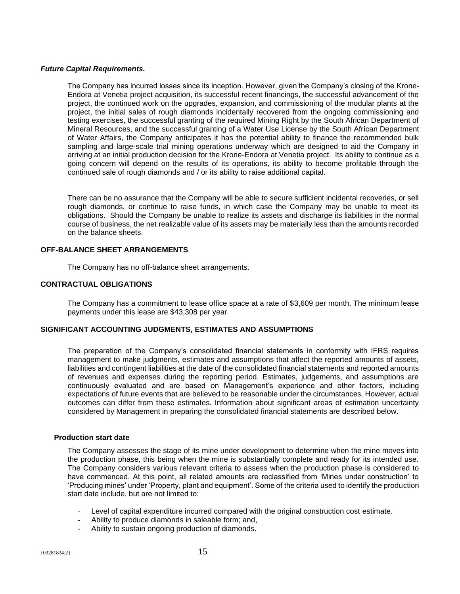# *Future Capital Requirements.*

The Company has incurred losses since its inception. However, given the Company's closing of the Krone-Endora at Venetia project acquisition, its successful recent financings, the successful advancement of the project, the continued work on the upgrades, expansion, and commissioning of the modular plants at the project, the initial sales of rough diamonds incidentally recovered from the ongoing commissioning and testing exercises, the successful granting of the required Mining Right by the South African Department of Mineral Resources, and the successful granting of a Water Use License by the South African Department of Water Affairs, the Company anticipates it has the potential ability to finance the recommended bulk sampling and large-scale trial mining operations underway which are designed to aid the Company in arriving at an initial production decision for the Krone-Endora at Venetia project. Its ability to continue as a going concern will depend on the results of its operations, its ability to become profitable through the continued sale of rough diamonds and / or its ability to raise additional capital.

There can be no assurance that the Company will be able to secure sufficient incidental recoveries, or sell rough diamonds, or continue to raise funds, in which case the Company may be unable to meet its obligations. Should the Company be unable to realize its assets and discharge its liabilities in the normal course of business, the net realizable value of its assets may be materially less than the amounts recorded on the balance sheets.

#### **OFF-BALANCE SHEET ARRANGEMENTS**

The Company has no off-balance sheet arrangements.

# **CONTRACTUAL OBLIGATIONS**

The Company has a commitment to lease office space at a rate of \$3,609 per month. The minimum lease payments under this lease are \$43,308 per year.

# **SIGNIFICANT ACCOUNTING JUDGMENTS, ESTIMATES AND ASSUMPTIONS**

The preparation of the Company's consolidated financial statements in conformity with IFRS requires management to make judgments, estimates and assumptions that affect the reported amounts of assets, liabilities and contingent liabilities at the date of the consolidated financial statements and reported amounts of revenues and expenses during the reporting period. Estimates, judgements, and assumptions are continuously evaluated and are based on Management's experience and other factors, including expectations of future events that are believed to be reasonable under the circumstances. However, actual outcomes can differ from these estimates. Information about significant areas of estimation uncertainty considered by Management in preparing the consolidated financial statements are described below.

#### **Production start date**

The Company assesses the stage of its mine under development to determine when the mine moves into the production phase, this being when the mine is substantially complete and ready for its intended use. The Company considers various relevant criteria to assess when the production phase is considered to have commenced. At this point, all related amounts are reclassified from 'Mines under construction' to 'Producing mines' under 'Property, plant and equipment'. Some of the criteria used to identify the production start date include, but are not limited to:

- Level of capital expenditure incurred compared with the original construction cost estimate.
- Ability to produce diamonds in saleable form; and,
- Ability to sustain ongoing production of diamonds.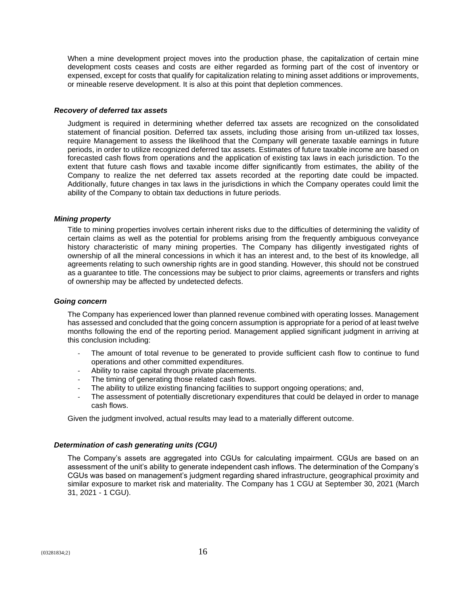When a mine development project moves into the production phase, the capitalization of certain mine development costs ceases and costs are either regarded as forming part of the cost of inventory or expensed, except for costs that qualify for capitalization relating to mining asset additions or improvements, or mineable reserve development. It is also at this point that depletion commences.

#### *Recovery of deferred tax assets*

Judgment is required in determining whether deferred tax assets are recognized on the consolidated statement of financial position. Deferred tax assets, including those arising from un-utilized tax losses, require Management to assess the likelihood that the Company will generate taxable earnings in future periods, in order to utilize recognized deferred tax assets. Estimates of future taxable income are based on forecasted cash flows from operations and the application of existing tax laws in each jurisdiction. To the extent that future cash flows and taxable income differ significantly from estimates, the ability of the Company to realize the net deferred tax assets recorded at the reporting date could be impacted. Additionally, future changes in tax laws in the jurisdictions in which the Company operates could limit the ability of the Company to obtain tax deductions in future periods.

#### *Mining property*

Title to mining properties involves certain inherent risks due to the difficulties of determining the validity of certain claims as well as the potential for problems arising from the frequently ambiguous conveyance history characteristic of many mining properties. The Company has diligently investigated rights of ownership of all the mineral concessions in which it has an interest and, to the best of its knowledge, all agreements relating to such ownership rights are in good standing. However, this should not be construed as a guarantee to title. The concessions may be subject to prior claims, agreements or transfers and rights of ownership may be affected by undetected defects.

#### *Going concern*

The Company has experienced lower than planned revenue combined with operating losses. Management has assessed and concluded that the going concern assumption is appropriate for a period of at least twelve months following the end of the reporting period. Management applied significant judgment in arriving at this conclusion including:

- The amount of total revenue to be generated to provide sufficient cash flow to continue to fund operations and other committed expenditures.
- Ability to raise capital through private placements.
- The timing of generating those related cash flows.
- The ability to utilize existing financing facilities to support ongoing operations; and,
- The assessment of potentially discretionary expenditures that could be delayed in order to manage cash flows.

Given the judgment involved, actual results may lead to a materially different outcome.

#### *Determination of cash generating units (CGU)*

The Company's assets are aggregated into CGUs for calculating impairment. CGUs are based on an assessment of the unit's ability to generate independent cash inflows. The determination of the Company's CGUs was based on management's judgment regarding shared infrastructure, geographical proximity and similar exposure to market risk and materiality. The Company has 1 CGU at September 30, 2021 (March 31, 2021 - 1 CGU).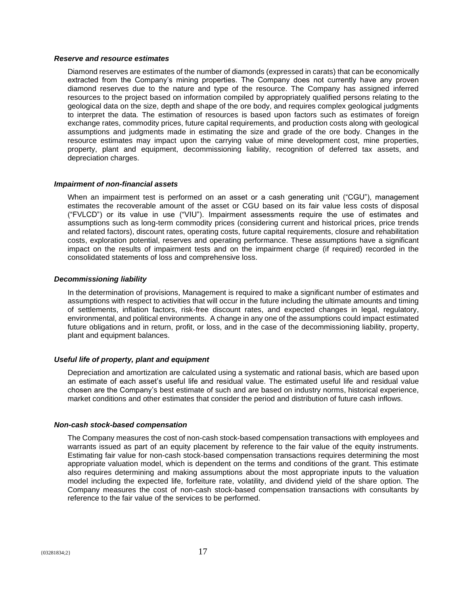#### *Reserve and resource estimates*

Diamond reserves are estimates of the number of diamonds (expressed in carats) that can be economically extracted from the Company's mining properties. The Company does not currently have any proven diamond reserves due to the nature and type of the resource. The Company has assigned inferred resources to the project based on information compiled by appropriately qualified persons relating to the geological data on the size, depth and shape of the ore body, and requires complex geological judgments to interpret the data. The estimation of resources is based upon factors such as estimates of foreign exchange rates, commodity prices, future capital requirements, and production costs along with geological assumptions and judgments made in estimating the size and grade of the ore body. Changes in the resource estimates may impact upon the carrying value of mine development cost, mine properties, property, plant and equipment, decommissioning liability, recognition of deferred tax assets, and depreciation charges.

#### *Impairment of non-financial assets*

When an impairment test is performed on an asset or a cash generating unit ("CGU"), management estimates the recoverable amount of the asset or CGU based on its fair value less costs of disposal ("FVLCD") or its value in use ("VIU"). Impairment assessments require the use of estimates and assumptions such as long-term commodity prices (considering current and historical prices, price trends and related factors), discount rates, operating costs, future capital requirements, closure and rehabilitation costs, exploration potential, reserves and operating performance. These assumptions have a significant impact on the results of impairment tests and on the impairment charge (if required) recorded in the consolidated statements of loss and comprehensive loss.

#### *Decommissioning liability*

In the determination of provisions, Management is required to make a significant number of estimates and assumptions with respect to activities that will occur in the future including the ultimate amounts and timing of settlements, inflation factors, risk-free discount rates, and expected changes in legal, regulatory, environmental, and political environments. A change in any one of the assumptions could impact estimated future obligations and in return, profit, or loss, and in the case of the decommissioning liability, property, plant and equipment balances.

#### *Useful life of property, plant and equipment*

Depreciation and amortization are calculated using a systematic and rational basis, which are based upon an estimate of each asset's useful life and residual value. The estimated useful life and residual value chosen are the Company's best estimate of such and are based on industry norms, historical experience, market conditions and other estimates that consider the period and distribution of future cash inflows.

#### *Non-cash stock-based compensation*

The Company measures the cost of non-cash stock-based compensation transactions with employees and warrants issued as part of an equity placement by reference to the fair value of the equity instruments. Estimating fair value for non-cash stock-based compensation transactions requires determining the most appropriate valuation model, which is dependent on the terms and conditions of the grant. This estimate also requires determining and making assumptions about the most appropriate inputs to the valuation model including the expected life, forfeiture rate, volatility, and dividend yield of the share option. The Company measures the cost of non-cash stock-based compensation transactions with consultants by reference to the fair value of the services to be performed.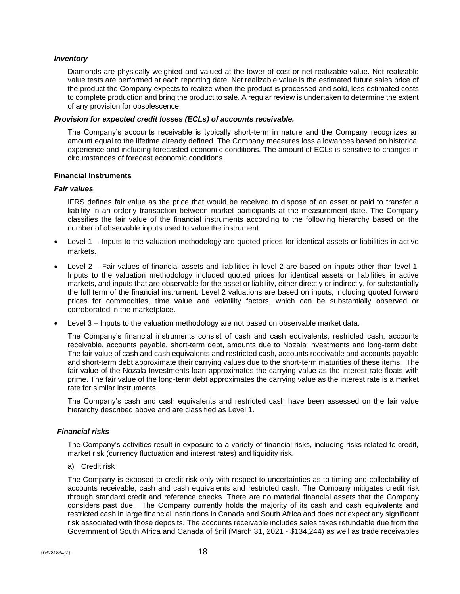### *Inventory*

Diamonds are physically weighted and valued at the lower of cost or net realizable value. Net realizable value tests are performed at each reporting date. Net realizable value is the estimated future sales price of the product the Company expects to realize when the product is processed and sold, less estimated costs to complete production and bring the product to sale. A regular review is undertaken to determine the extent of any provision for obsolescence.

#### *Provision for expected credit losses (ECLs) of accounts receivable.*

The Company's accounts receivable is typically short-term in nature and the Company recognizes an amount equal to the lifetime already defined. The Company measures loss allowances based on historical experience and including forecasted economic conditions. The amount of ECLs is sensitive to changes in circumstances of forecast economic conditions.

#### **Financial Instruments**

#### *Fair values*

IFRS defines fair value as the price that would be received to dispose of an asset or paid to transfer a liability in an orderly transaction between market participants at the measurement date. The Company classifies the fair value of the financial instruments according to the following hierarchy based on the number of observable inputs used to value the instrument.

- Level 1 Inputs to the valuation methodology are quoted prices for identical assets or liabilities in active markets.
- Level 2 Fair values of financial assets and liabilities in level 2 are based on inputs other than level 1. Inputs to the valuation methodology included quoted prices for identical assets or liabilities in active markets, and inputs that are observable for the asset or liability, either directly or indirectly, for substantially the full term of the financial instrument. Level 2 valuations are based on inputs, including quoted forward prices for commodities, time value and volatility factors, which can be substantially observed or corroborated in the marketplace.
- Level 3 Inputs to the valuation methodology are not based on observable market data.

The Company's financial instruments consist of cash and cash equivalents, restricted cash, accounts receivable, accounts payable, short-term debt, amounts due to Nozala Investments and long-term debt. The fair value of cash and cash equivalents and restricted cash, accounts receivable and accounts payable and short-term debt approximate their carrying values due to the short-term maturities of these items. The fair value of the Nozala Investments loan approximates the carrying value as the interest rate floats with prime. The fair value of the long-term debt approximates the carrying value as the interest rate is a market rate for similar instruments.

The Company's cash and cash equivalents and restricted cash have been assessed on the fair value hierarchy described above and are classified as Level 1.

# *Financial risks*

The Company's activities result in exposure to a variety of financial risks, including risks related to credit, market risk (currency fluctuation and interest rates) and liquidity risk.

a) Credit risk

The Company is exposed to credit risk only with respect to uncertainties as to timing and collectability of accounts receivable, cash and cash equivalents and restricted cash. The Company mitigates credit risk through standard credit and reference checks. There are no material financial assets that the Company considers past due. The Company currently holds the majority of its cash and cash equivalents and restricted cash in large financial institutions in Canada and South Africa and does not expect any significant risk associated with those deposits. The accounts receivable includes sales taxes refundable due from the Government of South Africa and Canada of \$nil (March 31, 2021 - \$134,244) as well as trade receivables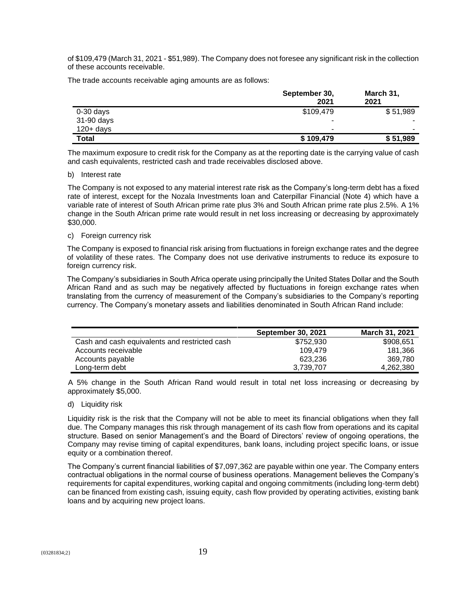of \$109,479 (March 31, 2021 - \$51,989). The Company does not foresee any significant risk in the collection of these accounts receivable.

The trade accounts receivable aging amounts are as follows:

|              | September 30,<br>2021 | March 31,<br>2021 |
|--------------|-----------------------|-------------------|
| $0-30$ days  | \$109,479             | \$51,989          |
| 31-90 days   | ٠                     |                   |
| $120 + days$ | ۰                     | ۰                 |
| <b>Total</b> | \$109,479             | \$51,989          |

The maximum exposure to credit risk for the Company as at the reporting date is the carrying value of cash and cash equivalents, restricted cash and trade receivables disclosed above.

#### b) Interest rate

The Company is not exposed to any material interest rate risk as the Company's long-term debt has a fixed rate of interest, except for the Nozala Investments loan and Caterpillar Financial (Note 4) which have a variable rate of interest of South African prime rate plus 3% and South African prime rate plus 2.5%. A 1% change in the South African prime rate would result in net loss increasing or decreasing by approximately \$30,000.

#### c) Foreign currency risk

The Company is exposed to financial risk arising from fluctuations in foreign exchange rates and the degree of volatility of these rates. The Company does not use derivative instruments to reduce its exposure to foreign currency risk.

The Company's subsidiaries in South Africa operate using principally the United States Dollar and the South African Rand and as such may be negatively affected by fluctuations in foreign exchange rates when translating from the currency of measurement of the Company's subsidiaries to the Company's reporting currency. The Company's monetary assets and liabilities denominated in South African Rand include:

| <b>September 30, 2021</b> | March 31, 2021 |
|---------------------------|----------------|
| \$752,930                 | \$908,651      |
| 109.479                   | 181.366        |
| 623.236                   | 369.780        |
| 3.739.707                 | 4.262.380      |
|                           |                |

A 5% change in the South African Rand would result in total net loss increasing or decreasing by approximately \$5,000.

d) Liquidity risk

Liquidity risk is the risk that the Company will not be able to meet its financial obligations when they fall due. The Company manages this risk through management of its cash flow from operations and its capital structure. Based on senior Management's and the Board of Directors' review of ongoing operations, the Company may revise timing of capital expenditures, bank loans, including project specific loans, or issue equity or a combination thereof.

The Company's current financial liabilities of \$7,097,362 are payable within one year. The Company enters contractual obligations in the normal course of business operations. Management believes the Company's requirements for capital expenditures, working capital and ongoing commitments (including long-term debt) can be financed from existing cash, issuing equity, cash flow provided by operating activities, existing bank loans and by acquiring new project loans.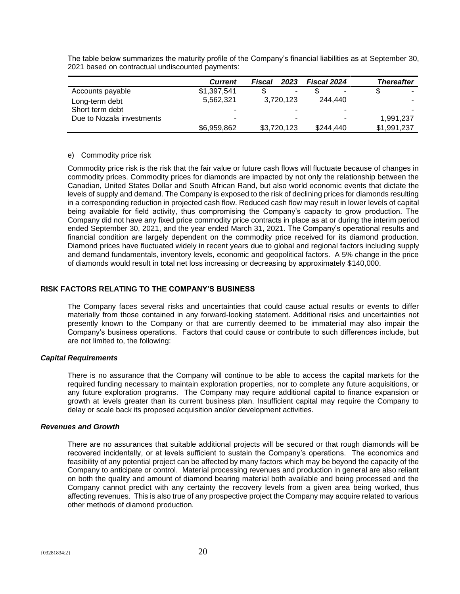|                           | <b>Current</b> | 2023<br>Fiscal           | Fiscal 2024    | <b>Thereafter</b> |
|---------------------------|----------------|--------------------------|----------------|-------------------|
| Accounts payable          | \$1,397,541    | ٠                        |                | $\blacksquare$    |
| Long-term debt            | 5,562,321      | 3,720,123                | 244.440        | -                 |
| Short term debt           | -              | ۰                        |                |                   |
| Due to Nozala investments | $\blacksquare$ | $\overline{\phantom{a}}$ | $\blacksquare$ | 1.991.237         |
|                           | \$6,959,862    | \$3,720,123              | \$244,440      | \$1,991,237       |

The table below summarizes the maturity profile of the Company's financial liabilities as at September 30, 2021 based on contractual undiscounted payments:

# e) Commodity price risk

Commodity price risk is the risk that the fair value or future cash flows will fluctuate because of changes in commodity prices. Commodity prices for diamonds are impacted by not only the relationship between the Canadian, United States Dollar and South African Rand, but also world economic events that dictate the levels of supply and demand. The Company is exposed to the risk of declining prices for diamonds resulting in a corresponding reduction in projected cash flow. Reduced cash flow may result in lower levels of capital being available for field activity, thus compromising the Company's capacity to grow production. The Company did not have any fixed price commodity price contracts in place as at or during the interim period ended September 30, 2021, and the year ended March 31, 2021. The Company's operational results and financial condition are largely dependent on the commodity price received for its diamond production. Diamond prices have fluctuated widely in recent years due to global and regional factors including supply and demand fundamentals, inventory levels, economic and geopolitical factors. A 5% change in the price of diamonds would result in total net loss increasing or decreasing by approximately \$140,000.

# **RISK FACTORS RELATING TO THE COMPANY'S BUSINESS**

The Company faces several risks and uncertainties that could cause actual results or events to differ materially from those contained in any forward-looking statement. Additional risks and uncertainties not presently known to the Company or that are currently deemed to be immaterial may also impair the Company's business operations. Factors that could cause or contribute to such differences include, but are not limited to, the following:

#### *Capital Requirements*

There is no assurance that the Company will continue to be able to access the capital markets for the required funding necessary to maintain exploration properties, nor to complete any future acquisitions, or any future exploration programs. The Company may require additional capital to finance expansion or growth at levels greater than its current business plan. Insufficient capital may require the Company to delay or scale back its proposed acquisition and/or development activities.

#### *Revenues and Growth*

There are no assurances that suitable additional projects will be secured or that rough diamonds will be recovered incidentally, or at levels sufficient to sustain the Company's operations. The economics and feasibility of any potential project can be affected by many factors which may be beyond the capacity of the Company to anticipate or control. Material processing revenues and production in general are also reliant on both the quality and amount of diamond bearing material both available and being processed and the Company cannot predict with any certainty the recovery levels from a given area being worked, thus affecting revenues. This is also true of any prospective project the Company may acquire related to various other methods of diamond production.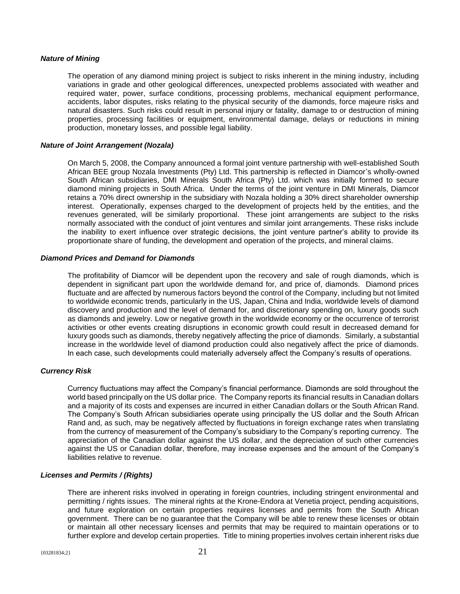#### *Nature of Mining*

The operation of any diamond mining project is subject to risks inherent in the mining industry, including variations in grade and other geological differences, unexpected problems associated with weather and required water, power, surface conditions, processing problems, mechanical equipment performance, accidents, labor disputes, risks relating to the physical security of the diamonds, force majeure risks and natural disasters. Such risks could result in personal injury or fatality, damage to or destruction of mining properties, processing facilities or equipment, environmental damage, delays or reductions in mining production, monetary losses, and possible legal liability.

#### *Nature of Joint Arrangement (Nozala)*

On March 5, 2008, the Company announced a formal joint venture partnership with well-established South African BEE group Nozala Investments (Pty) Ltd. This partnership is reflected in Diamcor's wholly-owned South African subsidiaries, DMI Minerals South Africa (Pty) Ltd. which was initially formed to secure diamond mining projects in South Africa. Under the terms of the joint venture in DMI Minerals, Diamcor retains a 70% direct ownership in the subsidiary with Nozala holding a 30% direct shareholder ownership interest. Operationally, expenses charged to the development of projects held by the entities, and the revenues generated, will be similarly proportional. These joint arrangements are subject to the risks normally associated with the conduct of joint ventures and similar joint arrangements. These risks include the inability to exert influence over strategic decisions, the joint venture partner's ability to provide its proportionate share of funding, the development and operation of the projects, and mineral claims.

#### *Diamond Prices and Demand for Diamonds*

The profitability of Diamcor will be dependent upon the recovery and sale of rough diamonds, which is dependent in significant part upon the worldwide demand for, and price of, diamonds. Diamond prices fluctuate and are affected by numerous factors beyond the control of the Company, including but not limited to worldwide economic trends, particularly in the US, Japan, China and India, worldwide levels of diamond discovery and production and the level of demand for, and discretionary spending on, luxury goods such as diamonds and jewelry. Low or negative growth in the worldwide economy or the occurrence of terrorist activities or other events creating disruptions in economic growth could result in decreased demand for luxury goods such as diamonds, thereby negatively affecting the price of diamonds. Similarly, a substantial increase in the worldwide level of diamond production could also negatively affect the price of diamonds. In each case, such developments could materially adversely affect the Company's results of operations.

# *Currency Risk*

Currency fluctuations may affect the Company's financial performance. Diamonds are sold throughout the world based principally on the US dollar price. The Company reports its financial results in Canadian dollars and a majority of its costs and expenses are incurred in either Canadian dollars or the South African Rand. The Company's South African subsidiaries operate using principally the US dollar and the South African Rand and, as such, may be negatively affected by fluctuations in foreign exchange rates when translating from the currency of measurement of the Company's subsidiary to the Company's reporting currency. The appreciation of the Canadian dollar against the US dollar, and the depreciation of such other currencies against the US or Canadian dollar, therefore, may increase expenses and the amount of the Company's liabilities relative to revenue.

# *Licenses and Permits / (Rights)*

There are inherent risks involved in operating in foreign countries, including stringent environmental and permitting / rights issues. The mineral rights at the Krone-Endora at Venetia project, pending acquisitions, and future exploration on certain properties requires licenses and permits from the South African government. There can be no guarantee that the Company will be able to renew these licenses or obtain or maintain all other necessary licenses and permits that may be required to maintain operations or to further explore and develop certain properties. Title to mining properties involves certain inherent risks due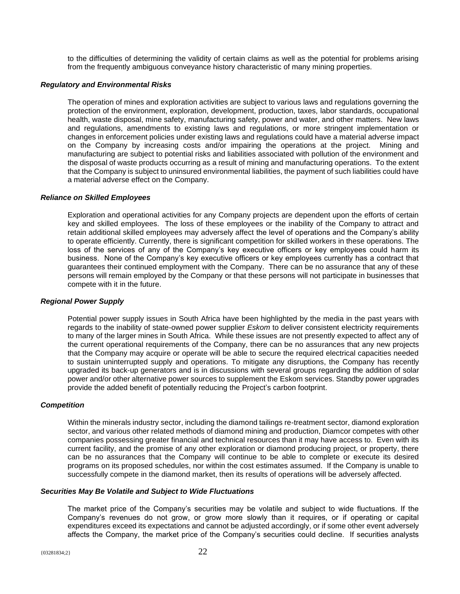to the difficulties of determining the validity of certain claims as well as the potential for problems arising from the frequently ambiguous conveyance history characteristic of many mining properties.

# *Regulatory and Environmental Risks*

The operation of mines and exploration activities are subject to various laws and regulations governing the protection of the environment, exploration, development, production, taxes, labor standards, occupational health, waste disposal, mine safety, manufacturing safety, power and water, and other matters. New laws and regulations, amendments to existing laws and regulations, or more stringent implementation or changes in enforcement policies under existing laws and regulations could have a material adverse impact on the Company by increasing costs and/or impairing the operations at the project. Mining and manufacturing are subject to potential risks and liabilities associated with pollution of the environment and the disposal of waste products occurring as a result of mining and manufacturing operations. To the extent that the Company is subject to uninsured environmental liabilities, the payment of such liabilities could have a material adverse effect on the Company.

#### *Reliance on Skilled Employees*

Exploration and operational activities for any Company projects are dependent upon the efforts of certain key and skilled employees. The loss of these employees or the inability of the Company to attract and retain additional skilled employees may adversely affect the level of operations and the Company's ability to operate efficiently. Currently, there is significant competition for skilled workers in these operations. The loss of the services of any of the Company's key executive officers or key employees could harm its business. None of the Company's key executive officers or key employees currently has a contract that guarantees their continued employment with the Company. There can be no assurance that any of these persons will remain employed by the Company or that these persons will not participate in businesses that compete with it in the future.

# *Regional Power Supply*

Potential power supply issues in South Africa have been highlighted by the media in the past years with regards to the inability of state-owned power supplier *Eskom* to deliver consistent electricity requirements to many of the larger mines in South Africa. While these issues are not presently expected to affect any of the current operational requirements of the Company, there can be no assurances that any new projects that the Company may acquire or operate will be able to secure the required electrical capacities needed to sustain uninterrupted supply and operations. To mitigate any disruptions, the Company has recently upgraded its back-up generators and is in discussions with several groups regarding the addition of solar power and/or other alternative power sources to supplement the Eskom services. Standby power upgrades provide the added benefit of potentially reducing the Project's carbon footprint.

#### *Competition*

Within the minerals industry sector, including the diamond tailings re-treatment sector, diamond exploration sector, and various other related methods of diamond mining and production, Diamcor competes with other companies possessing greater financial and technical resources than it may have access to. Even with its current facility, and the promise of any other exploration or diamond producing project, or property, there can be no assurances that the Company will continue to be able to complete or execute its desired programs on its proposed schedules, nor within the cost estimates assumed. If the Company is unable to successfully compete in the diamond market, then its results of operations will be adversely affected.

#### *Securities May Be Volatile and Subject to Wide Fluctuations*

The market price of the Company's securities may be volatile and subject to wide fluctuations. If the Company's revenues do not grow, or grow more slowly than it requires, or if operating or capital expenditures exceed its expectations and cannot be adjusted accordingly, or if some other event adversely affects the Company, the market price of the Company's securities could decline. If securities analysts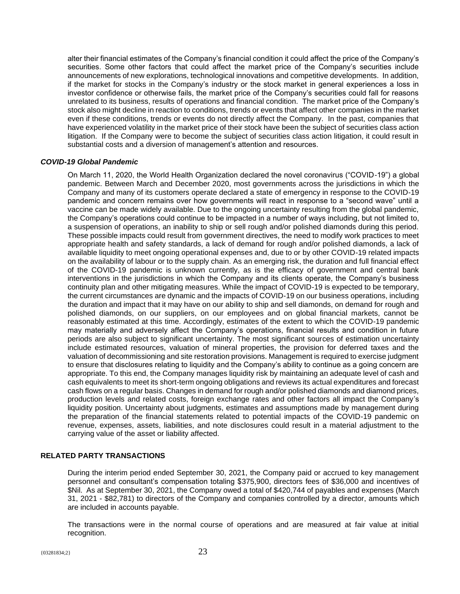alter their financial estimates of the Company's financial condition it could affect the price of the Company's securities. Some other factors that could affect the market price of the Company's securities include announcements of new explorations, technological innovations and competitive developments. In addition, if the market for stocks in the Company's industry or the stock market in general experiences a loss in investor confidence or otherwise fails, the market price of the Company's securities could fall for reasons unrelated to its business, results of operations and financial condition. The market price of the Company's stock also might decline in reaction to conditions, trends or events that affect other companies in the market even if these conditions, trends or events do not directly affect the Company. In the past, companies that have experienced volatility in the market price of their stock have been the subject of securities class action litigation. If the Company were to become the subject of securities class action litigation, it could result in substantial costs and a diversion of management's attention and resources.

# *COVID-19 Global Pandemic*

On March 11, 2020, the World Health Organization declared the novel coronavirus ("COVID-19") a global pandemic. Between March and December 2020, most governments across the jurisdictions in which the Company and many of its customers operate declared a state of emergency in response to the COVID-19 pandemic and concern remains over how governments will react in response to a "second wave" until a vaccine can be made widely available. Due to the ongoing uncertainty resulting from the global pandemic, the Company's operations could continue to be impacted in a number of ways including, but not limited to, a suspension of operations, an inability to ship or sell rough and/or polished diamonds during this period. These possible impacts could result from government directives, the need to modify work practices to meet appropriate health and safety standards, a lack of demand for rough and/or polished diamonds, a lack of available liquidity to meet ongoing operational expenses and, due to or by other COVID-19 related impacts on the availability of labour or to the supply chain. As an emerging risk, the duration and full financial effect of the COVID-19 pandemic is unknown currently, as is the efficacy of government and central bank interventions in the jurisdictions in which the Company and its clients operate, the Company's business continuity plan and other mitigating measures. While the impact of COVID-19 is expected to be temporary, the current circumstances are dynamic and the impacts of COVID-19 on our business operations, including the duration and impact that it may have on our ability to ship and sell diamonds, on demand for rough and polished diamonds, on our suppliers, on our employees and on global financial markets, cannot be reasonably estimated at this time. Accordingly, estimates of the extent to which the COVID-19 pandemic may materially and adversely affect the Company's operations, financial results and condition in future periods are also subject to significant uncertainty. The most significant sources of estimation uncertainty include estimated resources, valuation of mineral properties, the provision for deferred taxes and the valuation of decommissioning and site restoration provisions. Management is required to exercise judgment to ensure that disclosures relating to liquidity and the Company's ability to continue as a going concern are appropriate. To this end, the Company manages liquidity risk by maintaining an adequate level of cash and cash equivalents to meet its short-term ongoing obligations and reviews its actual expenditures and forecast cash flows on a regular basis. Changes in demand for rough and/or polished diamonds and diamond prices, production levels and related costs, foreign exchange rates and other factors all impact the Company's liquidity position. Uncertainty about judgments, estimates and assumptions made by management during the preparation of the financial statements related to potential impacts of the COVID-19 pandemic on revenue, expenses, assets, liabilities, and note disclosures could result in a material adjustment to the carrying value of the asset or liability affected.

# **RELATED PARTY TRANSACTIONS**

During the interim period ended September 30, 2021, the Company paid or accrued to key management personnel and consultant's compensation totaling \$375,900, directors fees of \$36,000 and incentives of \$Nil. As at September 30, 2021, the Company owed a total of \$420,744 of payables and expenses (March 31, 2021 - \$82,781) to directors of the Company and companies controlled by a director, amounts which are included in accounts payable.

The transactions were in the normal course of operations and are measured at fair value at initial recognition.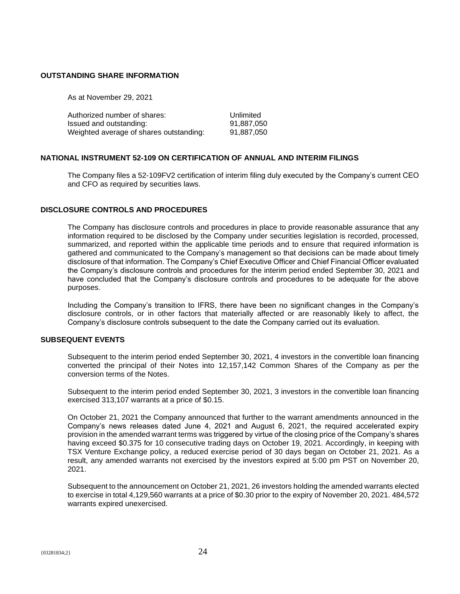#### **OUTSTANDING SHARE INFORMATION**

As at November 29, 2021

| Authorized number of shares:            | Unlimited  |
|-----------------------------------------|------------|
| Issued and outstanding:                 | 91.887.050 |
| Weighted average of shares outstanding: | 91.887.050 |

# **NATIONAL INSTRUMENT 52-109 ON CERTIFICATION OF ANNUAL AND INTERIM FILINGS**

The Company files a 52-109FV2 certification of interim filing duly executed by the Company's current CEO and CFO as required by securities laws.

# **DISCLOSURE CONTROLS AND PROCEDURES**

The Company has disclosure controls and procedures in place to provide reasonable assurance that any information required to be disclosed by the Company under securities legislation is recorded, processed, summarized, and reported within the applicable time periods and to ensure that required information is gathered and communicated to the Company's management so that decisions can be made about timely disclosure of that information. The Company's Chief Executive Officer and Chief Financial Officer evaluated the Company's disclosure controls and procedures for the interim period ended September 30, 2021 and have concluded that the Company's disclosure controls and procedures to be adequate for the above purposes.

Including the Company's transition to IFRS, there have been no significant changes in the Company's disclosure controls, or in other factors that materially affected or are reasonably likely to affect, the Company's disclosure controls subsequent to the date the Company carried out its evaluation.

# **SUBSEQUENT EVENTS**

Subsequent to the interim period ended September 30, 2021, 4 investors in the convertible loan financing converted the principal of their Notes into 12,157,142 Common Shares of the Company as per the conversion terms of the Notes.

Subsequent to the interim period ended September 30, 2021, 3 investors in the convertible loan financing exercised 313,107 warrants at a price of \$0.15.

On October 21, 2021 the Company announced that further to the warrant amendments announced in the Company's news releases dated June 4, 2021 and August 6, 2021, the required accelerated expiry provision in the amended warrant terms was triggered by virtue of the closing price of the Company's shares having exceed \$0.375 for 10 consecutive trading days on October 19, 2021. Accordingly, in keeping with TSX Venture Exchange policy, a reduced exercise period of 30 days began on October 21, 2021. As a result, any amended warrants not exercised by the investors expired at 5:00 pm PST on November 20, 2021.

Subsequent to the announcement on October 21, 2021, 26 investors holding the amended warrants elected to exercise in total 4,129,560 warrants at a price of \$0.30 prior to the expiry of November 20, 2021. 484,572 warrants expired unexercised.